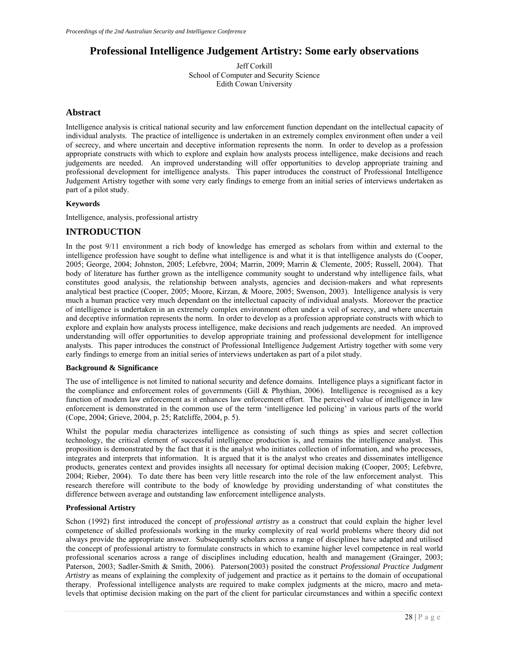# **Professional Intelligence Judgement Artistry: Some early observations**

Jeff Corkill School of Computer and Security Science Edith Cowan University

### **Abstract**

Intelligence analysis is critical national security and law enforcement function dependant on the intellectual capacity of individual analysts. The practice of intelligence is undertaken in an extremely complex environment often under a veil of secrecy, and where uncertain and deceptive information represents the norm. In order to develop as a profession appropriate constructs with which to explore and explain how analysts process intelligence, make decisions and reach judgements are needed. An improved understanding will offer opportunities to develop appropriate training and professional development for intelligence analysts. This paper introduces the construct of Professional Intelligence Judgement Artistry together with some very early findings to emerge from an initial series of interviews undertaken as part of a pilot study.

### **Keywords**

Intelligence, analysis, professional artistry

## **INTRODUCTION**

In the post 9/11 environment a rich body of knowledge has emerged as scholars from within and external to the intelligence profession have sought to define what intelligence is and what it is that intelligence analysts do (Cooper, 2005; George, 2004; Johnston, 2005; Lefebvre, 2004; Marrin, 2009; Marrin & Clemente, 2005; Russell, 2004). That body of literature has further grown as the intelligence community sought to understand why intelligence fails, what constitutes good analysis, the relationship between analysts, agencies and decision-makers and what represents analytical best practice (Cooper, 2005; Moore, Kirzan, & Moore, 2005; Swenson, 2003). Intelligence analysis is very much a human practice very much dependant on the intellectual capacity of individual analysts. Moreover the practice of intelligence is undertaken in an extremely complex environment often under a veil of secrecy, and where uncertain and deceptive information represents the norm. In order to develop as a profession appropriate constructs with which to explore and explain how analysts process intelligence, make decisions and reach judgements are needed. An improved understanding will offer opportunities to develop appropriate training and professional development for intelligence analysts. This paper introduces the construct of Professional Intelligence Judgement Artistry together with some very early findings to emerge from an initial series of interviews undertaken as part of a pilot study.

### **Background & Significance**

The use of intelligence is not limited to national security and defence domains. Intelligence plays a significant factor in the compliance and enforcement roles of governments (Gill & Phythian, 2006). Intelligence is recognised as a key function of modern law enforcement as it enhances law enforcement effort. The perceived value of intelligence in law enforcement is demonstrated in the common use of the term 'intelligence led policing' in various parts of the world (Cope, 2004; Grieve, 2004, p. 25; Ratcliffe, 2004, p. 5).

Whilst the popular media characterizes intelligence as consisting of such things as spies and secret collection technology, the critical element of successful intelligence production is, and remains the intelligence analyst. This proposition is demonstrated by the fact that it is the analyst who initiates collection of information, and who processes, integrates and interprets that information. It is argued that it is the analyst who creates and disseminates intelligence products, generates context and provides insights all necessary for optimal decision making (Cooper, 2005; Lefebvre, 2004; Rieber, 2004). To date there has been very little research into the role of the law enforcement analyst. This research therefore will contribute to the body of knowledge by providing understanding of what constitutes the difference between average and outstanding law enforcement intelligence analysts.

### **Professional Artistry**

Schon (1992) first introduced the concept of *professional artistry* as a construct that could explain the higher level competence of skilled professionals working in the murky complexity of real world problems where theory did not always provide the appropriate answer. Subsequently scholars across a range of disciplines have adapted and utilised the concept of professional artistry to formulate constructs in which to examine higher level competence in real world professional scenarios across a range of disciplines including education, health and management (Grainger, 2003; Paterson, 2003; Sadler-Smith & Smith, 2006). Paterson(2003) posited the construct *Professional Practice Judgment Artistry* as means of explaining the complexity of judgement and practice as it pertains to the domain of occupational therapy. Professional intelligence analysts are required to make complex judgments at the micro, macro and metalevels that optimise decision making on the part of the client for particular circumstances and within a specific context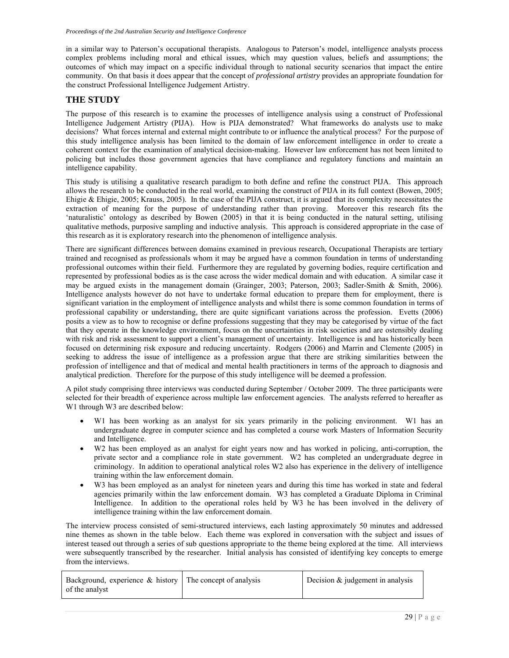in a similar way to Paterson's occupational therapists. Analogous to Paterson's model, intelligence analysts process complex problems including moral and ethical issues, which may question values, beliefs and assumptions; the outcomes of which may impact on a specific individual through to national security scenarios that impact the entire community. On that basis it does appear that the concept of *professional artistry* provides an appropriate foundation for the construct Professional Intelligence Judgement Artistry.

## **THE STUDY**

The purpose of this research is to examine the processes of intelligence analysis using a construct of Professional Intelligence Judgement Artistry (PIJA). How is PIJA demonstrated? What frameworks do analysts use to make decisions? What forces internal and external might contribute to or influence the analytical process? For the purpose of this study intelligence analysis has been limited to the domain of law enforcement intelligence in order to create a coherent context for the examination of analytical decision-making. However law enforcement has not been limited to policing but includes those government agencies that have compliance and regulatory functions and maintain an intelligence capability.

This study is utilising a qualitative research paradigm to both define and refine the construct PIJA. This approach allows the research to be conducted in the real world, examining the construct of PIJA in its full context (Bowen, 2005; Ehigie & Ehigie, 2005; Krauss, 2005). In the case of the PIJA construct, it is argued that its complexity necessitates the extraction of meaning for the purpose of understanding rather than proving. Moreover this research fits the 'naturalistic' ontology as described by Bowen (2005) in that it is being conducted in the natural setting, utilising qualitative methods, purposive sampling and inductive analysis. This approach is considered appropriate in the case of this research as it is exploratory research into the phenomenon of intelligence analysis.

There are significant differences between domains examined in previous research, Occupational Therapists are tertiary trained and recognised as professionals whom it may be argued have a common foundation in terms of understanding professional outcomes within their field. Furthermore they are regulated by governing bodies, require certification and represented by professional bodies as is the case across the wider medical domain and with education. A similar case it may be argued exists in the management domain (Grainger, 2003; Paterson, 2003; Sadler-Smith & Smith, 2006). Intelligence analysts however do not have to undertake formal education to prepare them for employment, there is significant variation in the employment of intelligence analysts and whilst there is some common foundation in terms of professional capability or understanding, there are quite significant variations across the profession. Evetts (2006) posits a view as to how to recognise or define professions suggesting that they may be categorised by virtue of the fact that they operate in the knowledge environment, focus on the uncertainties in risk societies and are ostensibly dealing with risk and risk assessment to support a client's management of uncertainty. Intelligence is and has historically been focused on determining risk exposure and reducing uncertainty. Rodgers (2006) and Marrin and Clemente (2005) in seeking to address the issue of intelligence as a profession argue that there are striking similarities between the profession of intelligence and that of medical and mental health practitioners in terms of the approach to diagnosis and analytical prediction. Therefore for the purpose of this study intelligence will be deemed a profession.

A pilot study comprising three interviews was conducted during September / October 2009. The three participants were selected for their breadth of experience across multiple law enforcement agencies. The analysts referred to hereafter as W1 through W3 are described below:

- W1 has been working as an analyst for six years primarily in the policing environment. W1 has an undergraduate degree in computer science and has completed a course work Masters of Information Security and Intelligence.
- W2 has been employed as an analyst for eight years now and has worked in policing, anti-corruption, the private sector and a compliance role in state government. W2 has completed an undergraduate degree in criminology. In addition to operational analytical roles W2 also has experience in the delivery of intelligence training within the law enforcement domain.
- W3 has been employed as an analyst for nineteen years and during this time has worked in state and federal agencies primarily within the law enforcement domain. W3 has completed a Graduate Diploma in Criminal Intelligence. In addition to the operational roles held by W3 he has been involved in the delivery of intelligence training within the law enforcement domain.

The interview process consisted of semi-structured interviews, each lasting approximately 50 minutes and addressed nine themes as shown in the table below. Each theme was explored in conversation with the subject and issues of interest teased out through a series of sub questions appropriate to the theme being explored at the time. All interviews were subsequently transcribed by the researcher. Initial analysis has consisted of identifying key concepts to emerge from the interviews.

| Background, experience $\&$ history $\vert$ The concept of analysis | Decision $&$ judgement in analysis |
|---------------------------------------------------------------------|------------------------------------|
| of the analyst                                                      |                                    |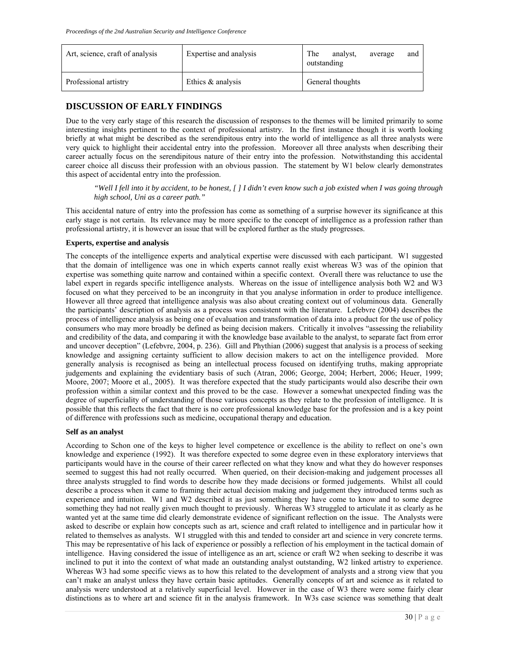| Art, science, craft of analysis | Expertise and analysis | The<br>analyst.<br>average<br>and<br>outstanding |
|---------------------------------|------------------------|--------------------------------------------------|
| Professional artistry           | Ethics $\&$ analysis   | General thoughts                                 |

# **DISCUSSION OF EARLY FINDINGS**

Due to the very early stage of this research the discussion of responses to the themes will be limited primarily to some interesting insights pertinent to the context of professional artistry. In the first instance though it is worth looking briefly at what might be described as the serendipitous entry into the world of intelligence as all three analysts were very quick to highlight their accidental entry into the profession. Moreover all three analysts when describing their career actually focus on the serendipitous nature of their entry into the profession. Notwithstanding this accidental career choice all discuss their profession with an obvious passion. The statement by W1 below clearly demonstrates this aspect of accidental entry into the profession.

*"Well I fell into it by accident, to be honest, [ ] I didn't even know such a job existed when I was going through high school, Uni as a career path."*

This accidental nature of entry into the profession has come as something of a surprise however its significance at this early stage is not certain. Its relevance may be more specific to the concept of intelligence as a profession rather than professional artistry, it is however an issue that will be explored further as the study progresses.

### **Experts, expertise and analysis**

The concepts of the intelligence experts and analytical expertise were discussed with each participant. W1 suggested that the domain of intelligence was one in which experts cannot really exist whereas W3 was of the opinion that expertise was something quite narrow and contained within a specific context. Overall there was reluctance to use the label expert in regards specific intelligence analysts. Whereas on the issue of intelligence analysis both W2 and W3 focused on what they perceived to be an incongruity in that you analyse information in order to produce intelligence. However all three agreed that intelligence analysis was also about creating context out of voluminous data. Generally the participants' description of analysis as a process was consistent with the literature. Lefebvre (2004) describes the process of intelligence analysis as being one of evaluation and transformation of data into a product for the use of policy consumers who may more broadly be defined as being decision makers. Critically it involves "assessing the reliability and credibility of the data, and comparing it with the knowledge base available to the analyst, to separate fact from error and uncover deception" (Lefebvre, 2004, p. 236). Gill and Phythian (2006) suggest that analysis is a process of seeking knowledge and assigning certainty sufficient to allow decision makers to act on the intelligence provided. More generally analysis is recognised as being an intellectual process focused on identifying truths, making appropriate judgements and explaining the evidentiary basis of such (Atran, 2006; George, 2004; Herbert, 2006; Heuer, 1999; Moore, 2007; Moore et al., 2005). It was therefore expected that the study participants would also describe their own profession within a similar context and this proved to be the case. However a somewhat unexpected finding was the degree of superficiality of understanding of those various concepts as they relate to the profession of intelligence. It is possible that this reflects the fact that there is no core professional knowledge base for the profession and is a key point of difference with professions such as medicine, occupational therapy and education.

### **Self as an analyst**

According to Schon one of the keys to higher level competence or excellence is the ability to reflect on one's own knowledge and experience (1992). It was therefore expected to some degree even in these exploratory interviews that participants would have in the course of their career reflected on what they know and what they do however responses seemed to suggest this had not really occurred. When queried, on their decision-making and judgement processes all three analysts struggled to find words to describe how they made decisions or formed judgements. Whilst all could describe a process when it came to framing their actual decision making and judgement they introduced terms such as experience and intuition. W1 and W2 described it as just something they have come to know and to some degree something they had not really given much thought to previously. Whereas W3 struggled to articulate it as clearly as he wanted yet at the same time did clearly demonstrate evidence of significant reflection on the issue. The Analysts were asked to describe or explain how concepts such as art, science and craft related to intelligence and in particular how it related to themselves as analysts. W1 struggled with this and tended to consider art and science in very concrete terms. This may be representative of his lack of experience or possibly a reflection of his employment in the tactical domain of intelligence. Having considered the issue of intelligence as an art, science or craft W2 when seeking to describe it was inclined to put it into the context of what made an outstanding analyst outstanding, W2 linked artistry to experience. Whereas W3 had some specific views as to how this related to the development of analysts and a strong view that you can't make an analyst unless they have certain basic aptitudes. Generally concepts of art and science as it related to analysis were understood at a relatively superficial level. However in the case of W3 there were some fairly clear distinctions as to where art and science fit in the analysis framework. In W3s case science was something that dealt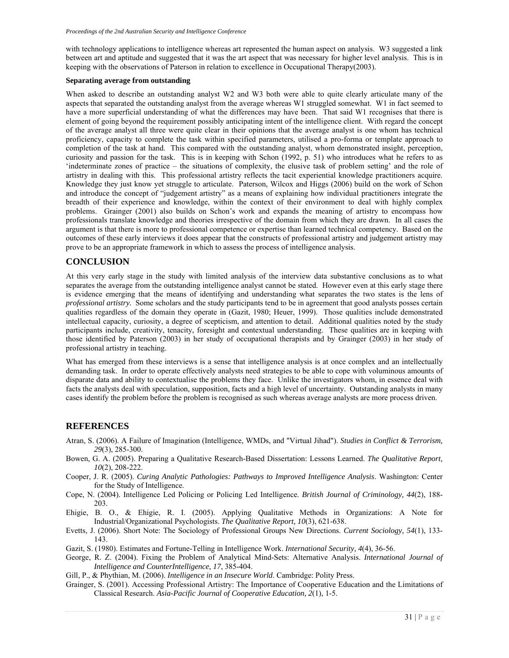with technology applications to intelligence whereas art represented the human aspect on analysis. W3 suggested a link between art and aptitude and suggested that it was the art aspect that was necessary for higher level analysis. This is in keeping with the observations of Paterson in relation to excellence in Occupational Therapy(2003).

#### **Separating average from outstanding**

When asked to describe an outstanding analyst W2 and W3 both were able to quite clearly articulate many of the aspects that separated the outstanding analyst from the average whereas W1 struggled somewhat. W1 in fact seemed to have a more superficial understanding of what the differences may have been. That said W1 recognises that there is element of going beyond the requirement possibly anticipating intent of the intelligence client. With regard the concept of the average analyst all three were quite clear in their opinions that the average analyst is one whom has technical proficiency, capacity to complete the task within specified parameters, utilised a pro-forma or template approach to completion of the task at hand. This compared with the outstanding analyst, whom demonstrated insight, perception, curiosity and passion for the task. This is in keeping with Schon (1992, p. 51) who introduces what he refers to as 'indeterminate zones of practice – the situations of complexity, the elusive task of problem setting' and the role of artistry in dealing with this. This professional artistry reflects the tacit experiential knowledge practitioners acquire. Knowledge they just know yet struggle to articulate. Paterson, Wilcox and Higgs (2006) build on the work of Schon and introduce the concept of "judgement artistry" as a means of explaining how individual practitioners integrate the breadth of their experience and knowledge, within the context of their environment to deal with highly complex problems. Grainger (2001) also builds on Schon's work and expands the meaning of artistry to encompass how professionals translate knowledge and theories irrespective of the domain from which they are drawn. In all cases the argument is that there is more to professional competence or expertise than learned technical competency. Based on the outcomes of these early interviews it does appear that the constructs of professional artistry and judgement artistry may prove to be an appropriate framework in which to assess the process of intelligence analysis.

## **CONCLUSION**

At this very early stage in the study with limited analysis of the interview data substantive conclusions as to what separates the average from the outstanding intelligence analyst cannot be stated. However even at this early stage there is evidence emerging that the means of identifying and understanding what separates the two states is the lens of *professional artistry.* Some scholars and the study participants tend to be in agreement that good analysts posses certain qualities regardless of the domain they operate in (Gazit, 1980; Heuer, 1999). Those qualities include demonstrated intellectual capacity, curiosity, a degree of scepticism, and attention to detail. Additional qualities noted by the study participants include, creativity, tenacity, foresight and contextual understanding. These qualities are in keeping with those identified by Paterson (2003) in her study of occupational therapists and by Grainger (2003) in her study of professional artistry in teaching.

What has emerged from these interviews is a sense that intelligence analysis is at once complex and an intellectually demanding task. In order to operate effectively analysts need strategies to be able to cope with voluminous amounts of disparate data and ability to contextualise the problems they face. Unlike the investigators whom, in essence deal with facts the analysts deal with speculation, supposition, facts and a high level of uncertainty. Outstanding analysts in many cases identify the problem before the problem is recognised as such whereas average analysts are more process driven.

### **REFERENCES**

- Atran, S. (2006). A Failure of Imagination (Intelligence, WMDs, and "Virtual Jihad"). *Studies in Conflict & Terrorism, 29*(3), 285-300.
- Bowen, G. A. (2005). Preparing a Qualitative Research-Based Dissertation: Lessons Learned. *The Qualitative Report, 10*(2), 208-222.
- Cooper, J. R. (2005). *Curing Analytic Pathologies: Pathways to Improved Intelligence Analysis*. Washington: Center for the Study of Intelligence.
- Cope, N. (2004). Intelligence Led Policing or Policing Led Intelligence. *British Journal of Criminology, 44*(2), 188- 203.
- Ehigie, B. O., & Ehigie, R. I. (2005). Applying Qualitative Methods in Organizations: A Note for Industrial/Organizational Psychologists. *The Qualitative Report, 10*(3), 621-638.
- Evetts, J. (2006). Short Note: The Sociology of Professional Groups New Directions. *Current Sociology, 54*(1), 133- 143.
- Gazit, S. (1980). Estimates and Fortune-Telling in Intelligence Work. *International Security, 4*(4), 36-56.
- George, R. Z. (2004). Fixing the Problem of Analytical Mind-Sets: Alternative Analysis. *International Journal of Intelligence and CounterIntelligence, 17*, 385-404.
- Gill, P., & Phythian, M. (2006). *Intelligence in an Insecure World*. Cambridge: Polity Press.
- Grainger, S. (2001). Accessing Professional Artistry: The Importance of Cooperative Education and the Limitations of Classical Research. *Asia-Pacific Journal of Cooperative Education, 2*(1), 1-5.